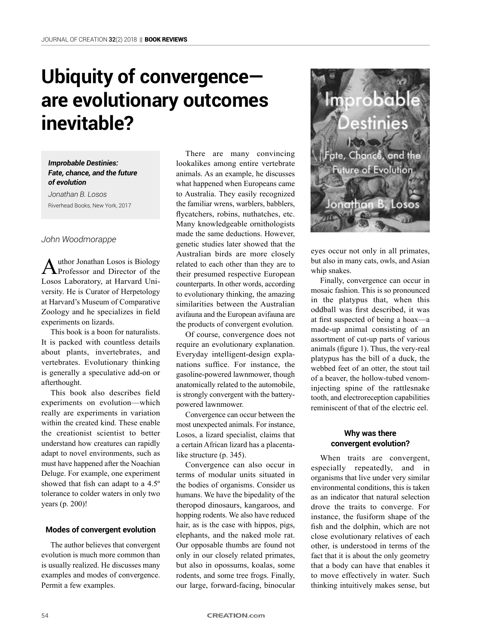# **Ubiquity of convergence are evolutionary outcomes inevitable?**

*Improbable Destinies: Fate, chance, and the future of evolution*

*Jonathan B. Losos* Riverhead Books, New York, 2017

#### *John Woodmorappe*

Author Jonathan Losos is Biology<br>Professor and Director of the Losos Laboratory, at Harvard University. He is Curator of Herpetology at Harvard's Museum of Comparative Zoology and he specializes in field experiments on lizards.

This book is a boon for naturalists. It is packed with countless details about plants, invertebrates, and vertebrates. Evolutionary thinking is generally a speculative add-on or afterthought.

This book also describes field experiments on evolution—which really are experiments in variation within the created kind. These enable the creationist scientist to better understand how creatures can rapidly adapt to novel environments, such as must have happened after the Noachian Deluge. For example, one experiment showed that fish can adapt to a 4.5º tolerance to colder waters in only two years (p. 200)!

## **Modes of convergent evolution**

The author believes that convergent evolution is much more common than is usually realized. He discusses many examples and modes of convergence. Permit a few examples.

There are many convincing lookalikes among entire vertebrate animals. As an example, he discusses what happened when Europeans came to Australia. They easily recognized the familiar wrens, warblers, babblers, flycatchers, robins, nuthatches, etc. Many knowledgeable ornithologists made the same deductions. However, genetic studies later showed that the Australian birds are more closely related to each other than they are to their presumed respective European counterparts. In other words, according to evolutionary thinking, the amazing similarities between the Australian avifauna and the European avifauna are the products of convergent evolution.

Of course, convergence does not require an evolutionary explanation. Everyday intelligent-design explanations suffice. For instance, the gasoline-powered lawnmower, though anatomically related to the automobile, is strongly convergent with the batterypowered lawnmower.

Convergence can occur between the most unexpected animals. For instance, Losos, a lizard specialist, claims that a certain African lizard has a placentalike structure (p. 345).

Convergence can also occur in terms of modular units situated in the bodies of organisms. Consider us humans. We have the bipedality of the theropod dinosaurs, kangaroos, and hopping rodents. We also have reduced hair, as is the case with hippos, pigs, elephants, and the naked mole rat. Our opposable thumbs are found not only in our closely related primates, but also in opossums, koalas, some rodents, and some tree frogs. Finally, our large, forward-facing, binocular



eyes occur not only in all primates, but also in many cats, owls, and Asian whip snakes.

Finally, convergence can occur in mosaic fashion. This is so pronounced in the platypus that, when this oddball was first described, it was at first suspected of being a hoax—a made-up animal consisting of an assortment of cut-up parts of various animals (figure 1). Thus, the very-real platypus has the bill of a duck, the webbed feet of an otter, the stout tail of a beaver, the hollow-tubed venominjecting spine of the rattlesnake tooth, and electroreception capabilities reminiscent of that of the electric eel.

## **Why was there convergent evolution?**

When traits are convergent, especially repeatedly, and in organisms that live under very similar environmental conditions, this is taken as an indicator that natural selection drove the traits to converge. For instance, the fusiform shape of the fish and the dolphin, which are not close evolutionary relatives of each other, is understood in terms of the fact that it is about the only geometry that a body can have that enables it to move effectively in water. Such thinking intuitively makes sense, but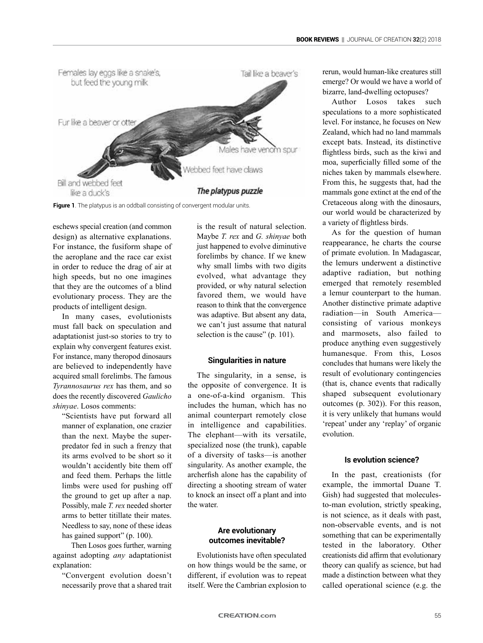

**Figure 1**. The platypus is an oddball consisting of convergent modular units.

eschews special creation (and common design) as alternative explanations. For instance, the fusiform shape of the aeroplane and the race car exist in order to reduce the drag of air at high speeds, but no one imagines that they are the outcomes of a blind evolutionary process. They are the products of intelligent design.

In many cases, evolutionists must fall back on speculation and adaptationist just-so stories to try to explain why convergent features exist. For instance, many theropod dinosaurs are believed to independently have acquired small forelimbs. The famous *Tyrannosaurus rex* has them, and so does the recently discovered *Gaulicho shinyae*. Losos comments:

"Scientists have put forward all manner of explanation, one crazier than the next. Maybe the superpredator fed in such a frenzy that its arms evolved to be short so it wouldn't accidently bite them off and feed them. Perhaps the little limbs were used for pushing off the ground to get up after a nap. Possibly, male *T. rex* needed shorter arms to better titillate their mates. Needless to say, none of these ideas has gained support" (p. 100).

Then Losos goes further, warning against adopting *any* adaptationist explanation:

"Convergent evolution doesn't necessarily prove that a shared trait is the result of natural selection. Maybe *T. rex* and *G. shinyae* both just happened to evolve diminutive forelimbs by chance. If we knew why small limbs with two digits evolved, what advantage they provided, or why natural selection favored them, we would have reason to think that the convergence was adaptive. But absent any data, we can't just assume that natural selection is the cause" (p. 101).

### **Singularities in nature**

The singularity, in a sense, is the opposite of convergence. It is a one-of-a-kind organism. This includes the human, which has no animal counterpart remotely close in intelligence and capabilities. The elephant—with its versatile, specialized nose (the trunk), capable of a diversity of tasks—is another singularity. As another example, the archerfish alone has the capability of directing a shooting stream of water to knock an insect off a plant and into the water.

## **Are evolutionary outcomes inevitable?**

Evolutionists have often speculated on how things would be the same, or different, if evolution was to repeat itself. Were the Cambrian explosion to rerun, would human-like creatures still emerge? Or would we have a world of bizarre, land-dwelling octopuses?

Author Losos takes such speculations to a more sophisticated level. For instance, he focuses on New Zealand, which had no land mammals except bats. Instead, its distinctive flightless birds, such as the kiwi and moa, superficially filled some of the niches taken by mammals elsewhere. From this, he suggests that, had the mammals gone extinct at the end of the Cretaceous along with the dinosaurs, our world would be characterized by a variety of flightless birds.

As for the question of human reappearance, he charts the course of primate evolution. In Madagascar, the lemurs underwent a distinctive adaptive radiation, but nothing emerged that remotely resembled a lemur counterpart to the human. Another distinctive primate adaptive radiation—in South America consisting of various monkeys and marmosets, also failed to produce anything even suggestively humanesque. From this, Losos concludes that humans were likely the result of evolutionary contingencies (that is, chance events that radically shaped subsequent evolutionary outcomes (p. 302)). For this reason, it is very unlikely that humans would 'repeat' under any 'replay' of organic evolution.

## **Is evolution science?**

In the past, creationists (for example, the immortal Duane T. Gish) had suggested that moleculesto-man evolution, strictly speaking, is not science, as it deals with past, non-observable events, and is not something that can be experimentally tested in the laboratory. Other creationists did affirm that evolutionary theory can qualify as science, but had made a distinction between what they called operational science (e.g. the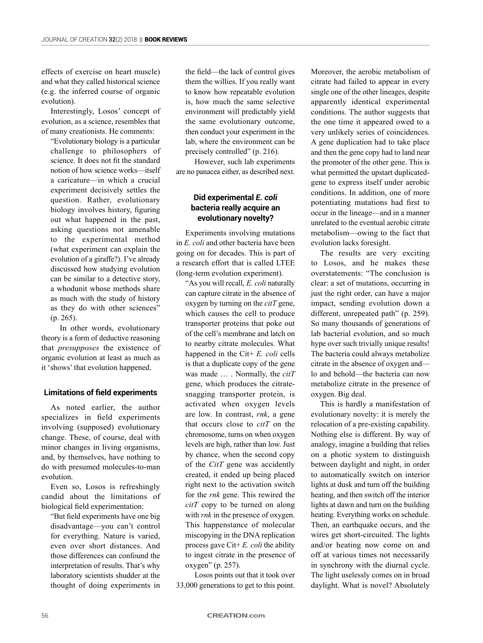effects of exercise on heart muscle) and what they called historical science (e.g. the inferred course of organic evolution).

Interestingly, Losos' concept of evolution, as a science, resembles that of many creationists. He comments:

"Evolutionary biology is a particular challenge to philosophers of science. It does not fit the standard notion of how science works—itself a caricature—in which a crucial experiment decisively settles the question. Rather, evolutionary biology involves history, figuring out what happened in the past, asking questions not amenable to the experimental method (what experiment can explain the evolution of a giraffe?). I've already discussed how studying evolution can be similar to a detective story, a whodunit whose methods share as much with the study of history as they do with other sciences" (p. 265).

In other words, evolutionary theory is a form of deductive reasoning that *presupposes* the existence of organic evolution at least as much as it 'shows' that evolution happened.

# **Limitations of field experiments**

As noted earlier, the author specializes in field experiments involving (supposed) evolutionary change. These, of course, deal with minor changes in living organisms, and, by themselves, have nothing to do with presumed molecules-to-man evolution.

Even so, Losos is refreshingly candid about the limitations of biological field experimentation:

"But field experiments have one big disadvantage—you can't control for everything. Nature is varied, even over short distances. And those differences can confound the interpretation of results. That's why laboratory scientists shudder at the thought of doing experiments in the field—the lack of control gives them the willies. If you really want to know how repeatable evolution is, how much the same selective environment will predictably yield the same evolutionary outcome, then conduct your experiment in the lab, where the environment can be precisely controlled" (p. 216).

However, such lab experiments are no panacea either, as described next.

# **Did experimental** *E. coli* **bacteria really acquire an evolutionary novelty?**

Experiments involving mutations in *E. coli* and other bacteria have been going on for decades. This is part of a research effort that is called LTEE (long-term evolution experiment).

"As you will recall, *E. coli* naturally can capture citrate in the absence of oxygen by turning on the *citT* gene, which causes the cell to produce transporter proteins that poke out of the cell's membrane and latch on to nearby citrate molecules. What happened in the Cit+ *E. coli* cells is that a duplicate copy of the gene was made … . Normally, the *citT* gene, which produces the citratesnagging transporter protein, is activated when oxygen levels are low. In contrast, *rnk*, a gene that occurs close to *citT* on the chromosome, turns on when oxygen levels are high, rather than low. Just by chance, when the second copy of the *CitT* gene was accidently created, it ended up being placed right next to the activation switch for the *rnk* gene. This rewired the *citT* copy to be turned on along with *rnk* in the presence of oxygen. This happenstance of molecular miscopying in the DNA replication process gave Cit+ *E. coli* the ability to ingest citrate in the presence of oxygen" (p. 257).

Losos points out that it took over 33,000 generations to get to this point.

Moreover, the aerobic metabolism of citrate had failed to appear in every single one of the other lineages, despite apparently identical experimental conditions. The author suggests that the one time it appeared owed to a very unlikely series of coincidences. A gene duplication had to take place and then the gene copy had to land near the promoter of the other gene. This is what permitted the upstart duplicatedgene to express itself under aerobic conditions. In addition, one of more potentiating mutations had first to occur in the lineage—and in a manner unrelated to the eventual aerobic citrate metabolism—owing to the fact that evolution lacks foresight.

The results are very exciting to Losos, and he makes these overstatements: "The conclusion is clear: a set of mutations, occurring in just the right order, can have a major impact, sending evolution down a different, unrepeated path" (p. 259). So many thousands of generations of lab bacterial evolution, and so much hype over such trivially unique results! The bacteria could always metabolize citrate in the absence of oxygen and lo and behold—the bacteria can now metabolize citrate in the presence of oxygen. Big deal.

This is hardly a manifestation of evolutionary novelty: it is merely the relocation of a pre-existing capability. Nothing else is different. By way of analogy, imagine a building that relies on a photic system to distinguish between daylight and night, in order to automatically switch on interior lights at dusk and turn off the building heating, and then switch off the interior lights at dawn and turn on the building heating. Everything works on schedule. Then, an earthquake occurs, and the wires get short-circuited. The lights and/or heating now come on and off at various times not necessarily in synchrony with the diurnal cycle. The light uselessly comes on in broad daylight. What is novel? Absolutely